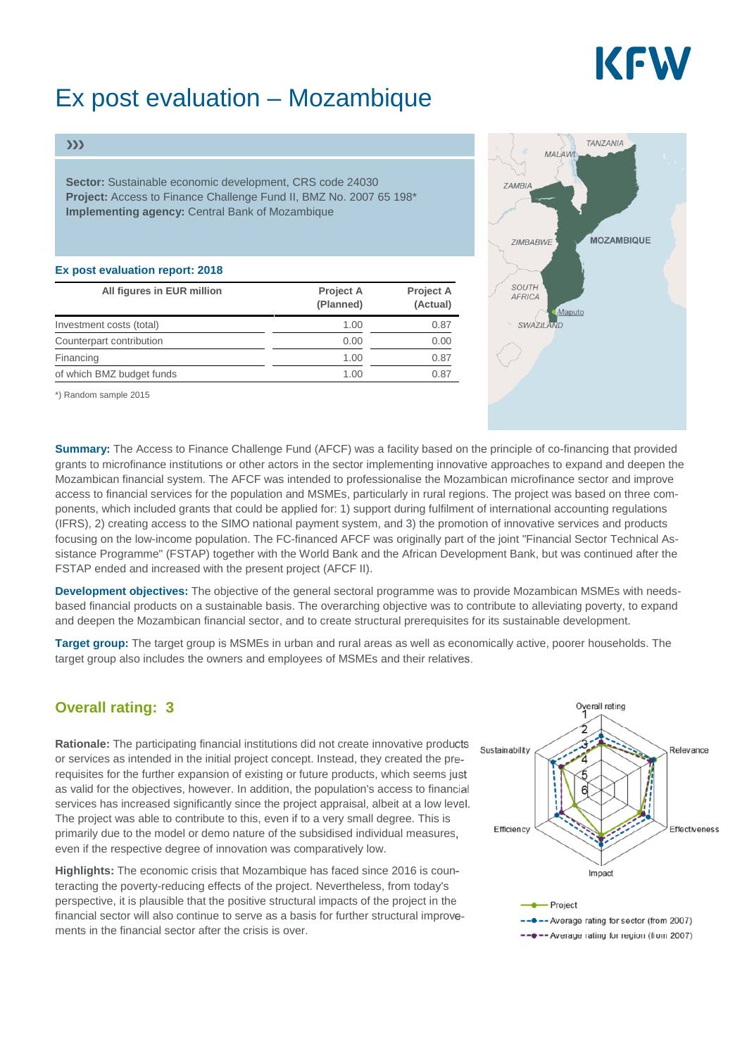# KEW

# Ex post evaluation – Mozambique

#### $\rangle\rangle$

**Sector:** Sustainable economic development, CRS code 24030 **Project:** Access to Finance Challenge Fund II, BMZ No. 2007 65 198\* **Implementing agency:** Central Bank of Mozambique

#### **Ex post evaluation report: 2018**

| All figures in EUR million | Project A<br>(Planned) | <b>Project A</b><br>(Actual) |
|----------------------------|------------------------|------------------------------|
| Investment costs (total)   | 1.00                   | 0.87                         |
| Counterpart contribution   | 0.00                   | 0.00                         |
| Financing                  | 1.00                   | 0.87                         |
| of which BMZ budget funds  | 1.00                   | 0.87                         |

\*) Random sample 2015



**Summary:** The Access to Finance Challenge Fund (AFCF) was a facility based on the principle of co-financing that provided grants to microfinance institutions or other actors in the sector implementing innovative approaches to expand and deepen the Mozambican financial system. The AFCF was intended to professionalise the Mozambican microfinance sector and improve access to financial services for the population and MSMEs, particularly in rural regions. The project was based on three components, which included grants that could be applied for: 1) support during fulfilment of international accounting regulations (IFRS), 2) creating access to the SIMO national payment system, and 3) the promotion of innovative services and products focusing on the low-income population. The FC-financed AFCF was originally part of the joint "Financial Sector Technical Assistance Programme" (FSTAP) together with the World Bank and the African Development Bank, but was continued after the FSTAP ended and increased with the present project (AFCF II).

**Development objectives:** The objective of the general sectoral programme was to provide Mozambican MSMEs with needsbased financial products on a sustainable basis. The overarching objective was to contribute to alleviating poverty, to expand and deepen the Mozambican financial sector, and to create structural prerequisites for its sustainable development.

**Target group:** The target group is MSMEs in urban and rural areas as well as economically active, poorer households. The target group also includes the owners and employees of MSMEs and their relatives.

### **Overall rating: 3**

**Rationale:** The participating financial institutions did not create innovative products or services as intended in the initial project concept. Instead, they created the prerequisites for the further expansion of existing or future products, which seems just as valid for the objectives, however. In addition, the population's access to financial services has increased significantly since the project appraisal, albeit at a low level. The project was able to contribute to this, even if to a very small degree. This is primarily due to the model or demo nature of the subsidised individual measures, even if the respective degree of innovation was comparatively low.

**Highlights:** The economic crisis that Mozambique has faced since 2016 is counteracting the poverty-reducing effects of the project. Nevertheless, from today's perspective, it is plausible that the positive structural impacts of the project in the financial sector will also continue to serve as a basis for further structural improvements in the financial sector after the crisis is over.

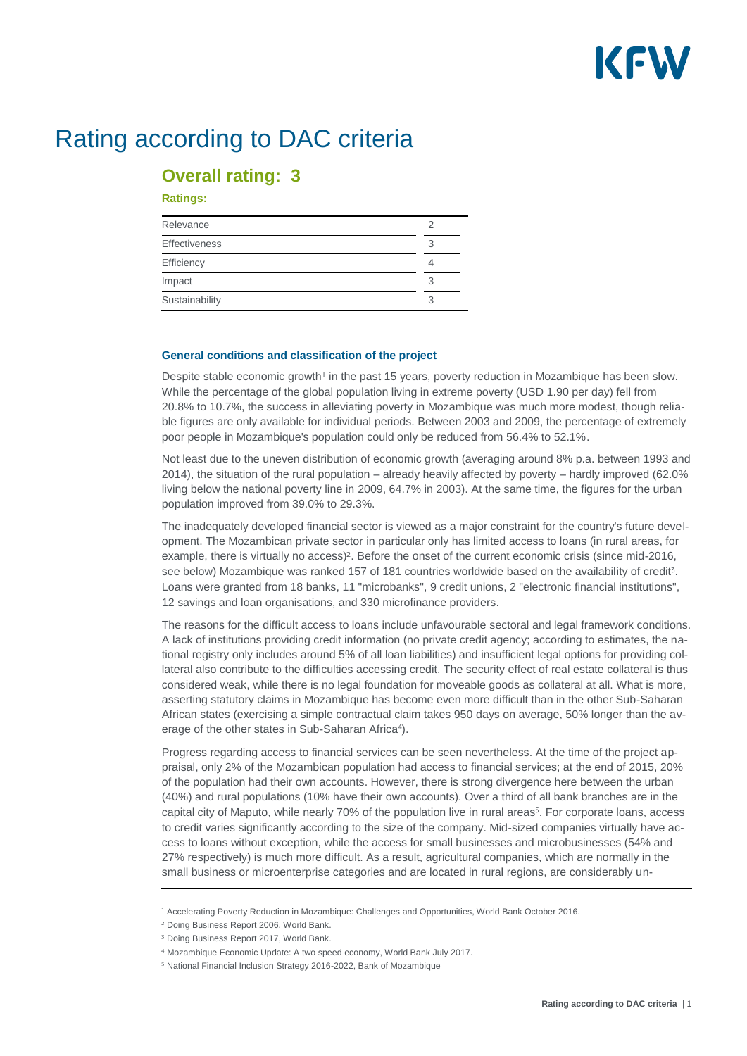

## Rating according to DAC criteria

### **Overall rating: 3**

#### **Ratings:**

| Relevance            |   |
|----------------------|---|
| <b>Effectiveness</b> | З |
| Efficiency           |   |
| Impact               | З |
| Sustainability       | З |

#### **General conditions and classification of the project**

Despite stable economic growth<sup>1</sup> in the past 15 years, poverty reduction in Mozambique has been slow. While the percentage of the global population living in extreme poverty (USD 1.90 per day) fell from 20.8% to 10.7%, the success in alleviating poverty in Mozambique was much more modest, though reliable figures are only available for individual periods. Between 2003 and 2009, the percentage of extremely poor people in Mozambique's population could only be reduced from 56.4% to 52.1%.

Not least due to the uneven distribution of economic growth (averaging around 8% p.a. between 1993 and 2014), the situation of the rural population – already heavily affected by poverty – hardly improved (62.0% living below the national poverty line in 2009, 64.7% in 2003). At the same time, the figures for the urban population improved from 39.0% to 29.3%.

The inadequately developed financial sector is viewed as a major constraint for the country's future development. The Mozambican private sector in particular only has limited access to loans (in rural areas, for example, there is virtually no access)<sup>2</sup>. Before the onset of the current economic crisis (since mid-2016, see below) Mozambique was ranked 157 of 181 countries worldwide based on the availability of credit<sup>5</sup>. Loans were granted from 18 banks, 11 "microbanks", 9 credit unions, 2 "electronic financial institutions", 12 savings and loan organisations, and 330 microfinance providers.

The reasons for the difficult access to loans include unfavourable sectoral and legal framework conditions. A lack of institutions providing credit information (no private credit agency; according to estimates, the national registry only includes around 5% of all loan liabilities) and insufficient legal options for providing collateral also contribute to the difficulties accessing credit. The security effect of real estate collateral is thus considered weak, while there is no legal foundation for moveable goods as collateral at all. What is more, asserting statutory claims in Mozambique has become even more difficult than in the other Sub-Saharan African states (exercising a simple contractual claim takes 950 days on average, 50% longer than the average of the other states in Sub-Saharan Africa<sup>4</sup>).

Progress regarding access to financial services can be seen nevertheless. At the time of the project appraisal, only 2% of the Mozambican population had access to financial services; at the end of 2015, 20% of the population had their own accounts. However, there is strong divergence here between the urban (40%) and rural populations (10% have their own accounts). Over a third of all bank branches are in the capital city of Maputo, while nearly 70% of the population live in rural areas<sup>5</sup>. For corporate loans, access to credit varies significantly according to the size of the company. Mid-sized companies virtually have access to loans without exception, while the access for small businesses and microbusinesses (54% and 27% respectively) is much more difficult. As a result, agricultural companies, which are normally in the small business or microenterprise categories and are located in rural regions, are considerably un-

<sup>&</sup>lt;sup>1</sup> Accelerating Poverty Reduction in Mozambique: Challenges and Opportunities, World Bank October 2016.

<sup>&</sup>lt;sup>2</sup> Doing Business Report 2006, World Bank.

<sup>&</sup>lt;sup>3</sup> Doing Business Report 2017, World Bank.

Mozambique Economic Update: A two speed economy, World Bank July 2017.

<sup>&</sup>lt;sup>5</sup> National Financial Inclusion Strategy 2016-2022, Bank of Mozambique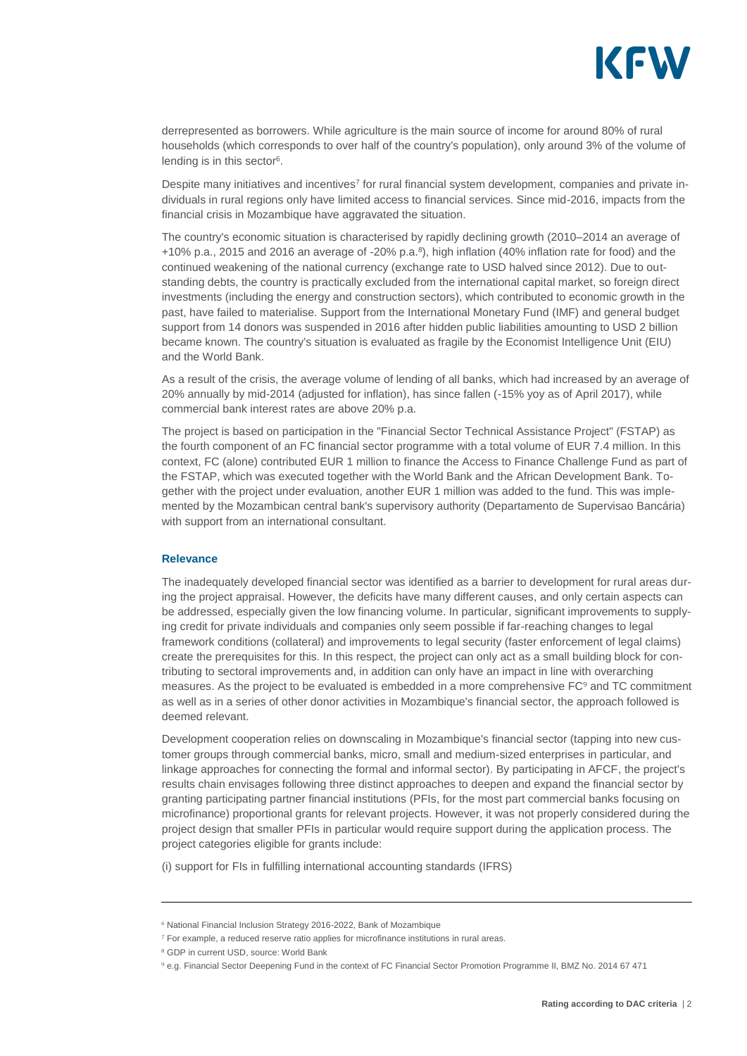

derrepresented as borrowers. While agriculture is the main source of income for around 80% of rural households (which corresponds to over half of the country's population), only around 3% of the volume of lending is in this sector $6$ .

Despite many initiatives and incentives<sup>7</sup> for rural financial system development, companies and private individuals in rural regions only have limited access to financial services. Since mid-2016, impacts from the financial crisis in Mozambique have aggravated the situation.

The country's economic situation is characterised by rapidly declining growth (2010–2014 an average of +10% p.a., 2015 and 2016 an average of -20% p.a.<sup>8</sup>), high inflation (40% inflation rate for food) and the continued weakening of the national currency (exchange rate to USD halved since 2012). Due to outstanding debts, the country is practically excluded from the international capital market, so foreign direct investments (including the energy and construction sectors), which contributed to economic growth in the past, have failed to materialise. Support from the International Monetary Fund (IMF) and general budget support from 14 donors was suspended in 2016 after hidden public liabilities amounting to USD 2 billion became known. The country's situation is evaluated as fragile by the Economist Intelligence Unit (EIU) and the World Bank.

As a result of the crisis, the average volume of lending of all banks, which had increased by an average of 20% annually by mid-2014 (adjusted for inflation), has since fallen (-15% yoy as of April 2017), while commercial bank interest rates are above 20% p.a.

The project is based on participation in the "Financial Sector Technical Assistance Project" (FSTAP) as the fourth component of an FC financial sector programme with a total volume of EUR 7.4 million. In this context, FC (alone) contributed EUR 1 million to finance the Access to Finance Challenge Fund as part of the FSTAP, which was executed together with the World Bank and the African Development Bank. Together with the project under evaluation, another EUR 1 million was added to the fund. This was implemented by the Mozambican central bank's supervisory authority (Departamento de Supervisao Bancária) with support from an international consultant.

#### **Relevance**

The inadequately developed financial sector was identified as a barrier to development for rural areas during the project appraisal. However, the deficits have many different causes, and only certain aspects can be addressed, especially given the low financing volume. In particular, significant improvements to supplying credit for private individuals and companies only seem possible if far-reaching changes to legal framework conditions (collateral) and improvements to legal security (faster enforcement of legal claims) create the prerequisites for this. In this respect, the project can only act as a small building block for contributing to sectoral improvements and, in addition can only have an impact in line with overarching measures. As the project to be evaluated is embedded in a more comprehensive FC<sup>9</sup> and TC commitment as well as in a series of other donor activities in Mozambique's financial sector, the approach followed is deemed relevant.

Development cooperation relies on downscaling in Mozambique's financial sector (tapping into new customer groups through commercial banks, micro, small and medium-sized enterprises in particular, and linkage approaches for connecting the formal and informal sector). By participating in AFCF, the project's results chain envisages following three distinct approaches to deepen and expand the financial sector by granting participating partner financial institutions (PFIs, for the most part commercial banks focusing on microfinance) proportional grants for relevant projects. However, it was not properly considered during the project design that smaller PFIs in particular would require support during the application process. The project categories eligible for grants include:

(i) support for FIs in fulfilling international accounting standards (IFRS)

<sup>&</sup>lt;sup>6</sup> National Financial Inclusion Strategy 2016-2022, Bank of Mozambique

<sup>&</sup>lt;sup>7</sup> For example, a reduced reserve ratio applies for microfinance institutions in rural areas.

GDP in current USD, source: World Bank

e.g. Financial Sector Deepening Fund in the context of FC Financial Sector Promotion Programme II, BMZ No. 2014 67 471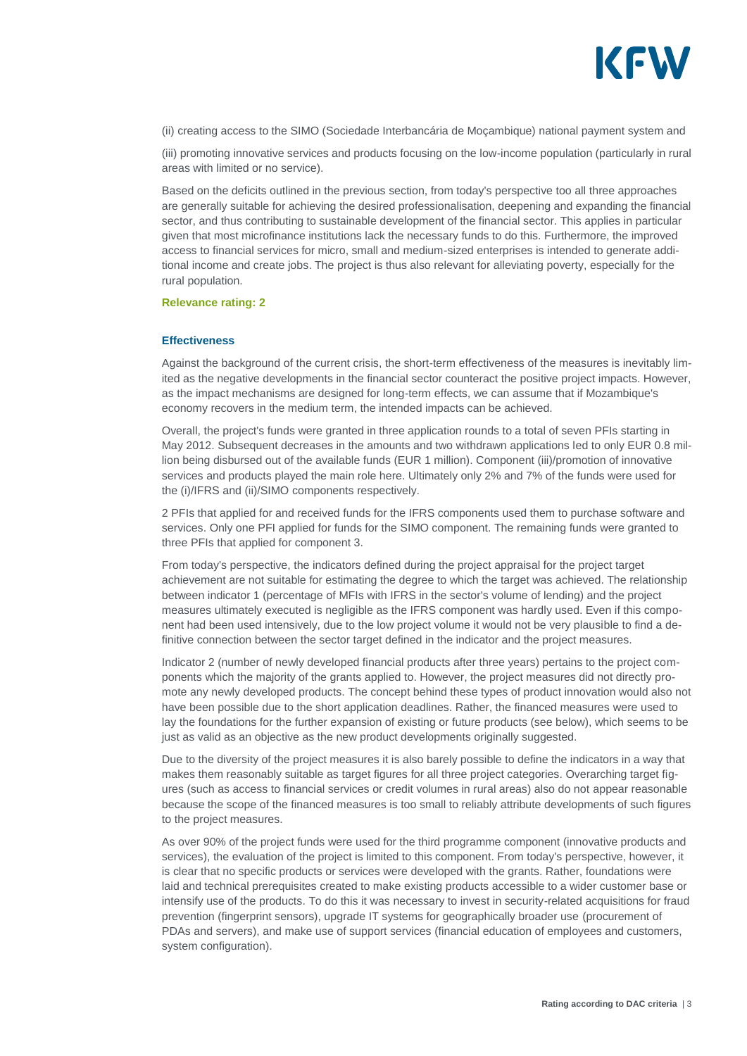

(ii) creating access to the SIMO (Sociedade Interbancária de Moçambique) national payment system and

(iii) promoting innovative services and products focusing on the low-income population (particularly in rural areas with limited or no service).

Based on the deficits outlined in the previous section, from today's perspective too all three approaches are generally suitable for achieving the desired professionalisation, deepening and expanding the financial sector, and thus contributing to sustainable development of the financial sector. This applies in particular given that most microfinance institutions lack the necessary funds to do this. Furthermore, the improved access to financial services for micro, small and medium-sized enterprises is intended to generate additional income and create jobs. The project is thus also relevant for alleviating poverty, especially for the rural population.

#### **Relevance rating: 2**

#### **Effectiveness**

Against the background of the current crisis, the short-term effectiveness of the measures is inevitably limited as the negative developments in the financial sector counteract the positive project impacts. However, as the impact mechanisms are designed for long-term effects, we can assume that if Mozambique's economy recovers in the medium term, the intended impacts can be achieved.

Overall, the project's funds were granted in three application rounds to a total of seven PFIs starting in May 2012. Subsequent decreases in the amounts and two withdrawn applications led to only EUR 0.8 million being disbursed out of the available funds (EUR 1 million). Component (iii)/promotion of innovative services and products played the main role here. Ultimately only 2% and 7% of the funds were used for the (i)/IFRS and (ii)/SIMO components respectively.

2 PFIs that applied for and received funds for the IFRS components used them to purchase software and services. Only one PFI applied for funds for the SIMO component. The remaining funds were granted to three PFIs that applied for component 3.

From today's perspective, the indicators defined during the project appraisal for the project target achievement are not suitable for estimating the degree to which the target was achieved. The relationship between indicator 1 (percentage of MFIs with IFRS in the sector's volume of lending) and the project measures ultimately executed is negligible as the IFRS component was hardly used. Even if this component had been used intensively, due to the low project volume it would not be very plausible to find a definitive connection between the sector target defined in the indicator and the project measures.

Indicator 2 (number of newly developed financial products after three years) pertains to the project components which the majority of the grants applied to. However, the project measures did not directly promote any newly developed products. The concept behind these types of product innovation would also not have been possible due to the short application deadlines. Rather, the financed measures were used to lay the foundations for the further expansion of existing or future products (see below), which seems to be just as valid as an objective as the new product developments originally suggested.

Due to the diversity of the project measures it is also barely possible to define the indicators in a way that makes them reasonably suitable as target figures for all three project categories. Overarching target figures (such as access to financial services or credit volumes in rural areas) also do not appear reasonable because the scope of the financed measures is too small to reliably attribute developments of such figures to the project measures.

As over 90% of the project funds were used for the third programme component (innovative products and services), the evaluation of the project is limited to this component. From today's perspective, however, it is clear that no specific products or services were developed with the grants. Rather, foundations were laid and technical prerequisites created to make existing products accessible to a wider customer base or intensify use of the products. To do this it was necessary to invest in security-related acquisitions for fraud prevention (fingerprint sensors), upgrade IT systems for geographically broader use (procurement of PDAs and servers), and make use of support services (financial education of employees and customers, system configuration).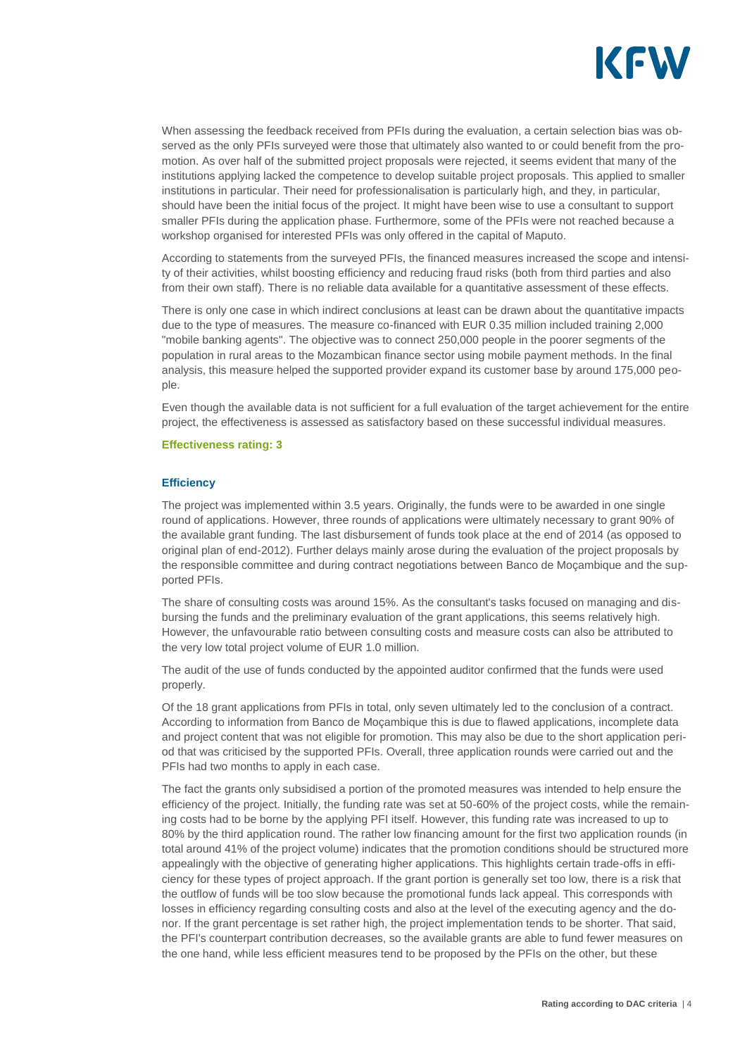

When assessing the feedback received from PFIs during the evaluation, a certain selection bias was observed as the only PFIs surveyed were those that ultimately also wanted to or could benefit from the promotion. As over half of the submitted project proposals were rejected, it seems evident that many of the institutions applying lacked the competence to develop suitable project proposals. This applied to smaller institutions in particular. Their need for professionalisation is particularly high, and they, in particular, should have been the initial focus of the project. It might have been wise to use a consultant to support smaller PFIs during the application phase. Furthermore, some of the PFIs were not reached because a workshop organised for interested PFIs was only offered in the capital of Maputo.

According to statements from the surveyed PFIs, the financed measures increased the scope and intensity of their activities, whilst boosting efficiency and reducing fraud risks (both from third parties and also from their own staff). There is no reliable data available for a quantitative assessment of these effects.

There is only one case in which indirect conclusions at least can be drawn about the quantitative impacts due to the type of measures. The measure co-financed with EUR 0.35 million included training 2,000 "mobile banking agents". The objective was to connect 250,000 people in the poorer segments of the population in rural areas to the Mozambican finance sector using mobile payment methods. In the final analysis, this measure helped the supported provider expand its customer base by around 175,000 people.

Even though the available data is not sufficient for a full evaluation of the target achievement for the entire project, the effectiveness is assessed as satisfactory based on these successful individual measures.

#### **Effectiveness rating: 3**

#### **Efficiency**

The project was implemented within 3.5 years. Originally, the funds were to be awarded in one single round of applications. However, three rounds of applications were ultimately necessary to grant 90% of the available grant funding. The last disbursement of funds took place at the end of 2014 (as opposed to original plan of end-2012). Further delays mainly arose during the evaluation of the project proposals by the responsible committee and during contract negotiations between Banco de Moçambique and the supported PFIs.

The share of consulting costs was around 15%. As the consultant's tasks focused on managing and disbursing the funds and the preliminary evaluation of the grant applications, this seems relatively high. However, the unfavourable ratio between consulting costs and measure costs can also be attributed to the very low total project volume of EUR 1.0 million.

The audit of the use of funds conducted by the appointed auditor confirmed that the funds were used properly.

Of the 18 grant applications from PFIs in total, only seven ultimately led to the conclusion of a contract. According to information from Banco de Moçambique this is due to flawed applications, incomplete data and project content that was not eligible for promotion. This may also be due to the short application period that was criticised by the supported PFIs. Overall, three application rounds were carried out and the PFIs had two months to apply in each case.

The fact the grants only subsidised a portion of the promoted measures was intended to help ensure the efficiency of the project. Initially, the funding rate was set at 50-60% of the project costs, while the remaining costs had to be borne by the applying PFI itself. However, this funding rate was increased to up to 80% by the third application round. The rather low financing amount for the first two application rounds (in total around 41% of the project volume) indicates that the promotion conditions should be structured more appealingly with the objective of generating higher applications. This highlights certain trade-offs in efficiency for these types of project approach. If the grant portion is generally set too low, there is a risk that the outflow of funds will be too slow because the promotional funds lack appeal. This corresponds with losses in efficiency regarding consulting costs and also at the level of the executing agency and the donor. If the grant percentage is set rather high, the project implementation tends to be shorter. That said, the PFI's counterpart contribution decreases, so the available grants are able to fund fewer measures on the one hand, while less efficient measures tend to be proposed by the PFIs on the other, but these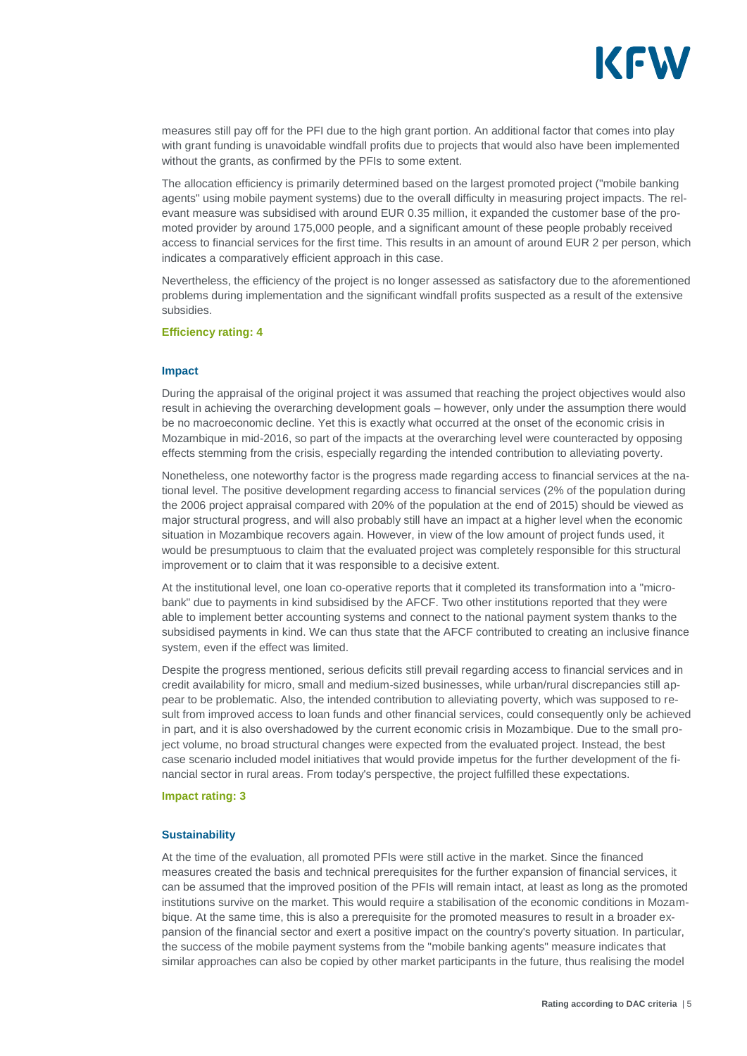

measures still pay off for the PFI due to the high grant portion. An additional factor that comes into play with grant funding is unavoidable windfall profits due to projects that would also have been implemented without the grants, as confirmed by the PFIs to some extent.

The allocation efficiency is primarily determined based on the largest promoted project ("mobile banking agents" using mobile payment systems) due to the overall difficulty in measuring project impacts. The relevant measure was subsidised with around EUR 0.35 million, it expanded the customer base of the promoted provider by around 175,000 people, and a significant amount of these people probably received access to financial services for the first time. This results in an amount of around EUR 2 per person, which indicates a comparatively efficient approach in this case.

Nevertheless, the efficiency of the project is no longer assessed as satisfactory due to the aforementioned problems during implementation and the significant windfall profits suspected as a result of the extensive subsidies.

#### **Efficiency rating: 4**

#### **Impact**

During the appraisal of the original project it was assumed that reaching the project objectives would also result in achieving the overarching development goals – however, only under the assumption there would be no macroeconomic decline. Yet this is exactly what occurred at the onset of the economic crisis in Mozambique in mid-2016, so part of the impacts at the overarching level were counteracted by opposing effects stemming from the crisis, especially regarding the intended contribution to alleviating poverty.

Nonetheless, one noteworthy factor is the progress made regarding access to financial services at the national level. The positive development regarding access to financial services (2% of the population during the 2006 project appraisal compared with 20% of the population at the end of 2015) should be viewed as major structural progress, and will also probably still have an impact at a higher level when the economic situation in Mozambique recovers again. However, in view of the low amount of project funds used, it would be presumptuous to claim that the evaluated project was completely responsible for this structural improvement or to claim that it was responsible to a decisive extent.

At the institutional level, one loan co-operative reports that it completed its transformation into a "microbank" due to payments in kind subsidised by the AFCF. Two other institutions reported that they were able to implement better accounting systems and connect to the national payment system thanks to the subsidised payments in kind. We can thus state that the AFCF contributed to creating an inclusive finance system, even if the effect was limited.

Despite the progress mentioned, serious deficits still prevail regarding access to financial services and in credit availability for micro, small and medium-sized businesses, while urban/rural discrepancies still appear to be problematic. Also, the intended contribution to alleviating poverty, which was supposed to result from improved access to loan funds and other financial services, could consequently only be achieved in part, and it is also overshadowed by the current economic crisis in Mozambique. Due to the small project volume, no broad structural changes were expected from the evaluated project. Instead, the best case scenario included model initiatives that would provide impetus for the further development of the financial sector in rural areas. From today's perspective, the project fulfilled these expectations.

#### **Impact rating: 3**

#### **Sustainability**

At the time of the evaluation, all promoted PFIs were still active in the market. Since the financed measures created the basis and technical prerequisites for the further expansion of financial services, it can be assumed that the improved position of the PFIs will remain intact, at least as long as the promoted institutions survive on the market. This would require a stabilisation of the economic conditions in Mozambique. At the same time, this is also a prerequisite for the promoted measures to result in a broader expansion of the financial sector and exert a positive impact on the country's poverty situation. In particular, the success of the mobile payment systems from the "mobile banking agents" measure indicates that similar approaches can also be copied by other market participants in the future, thus realising the model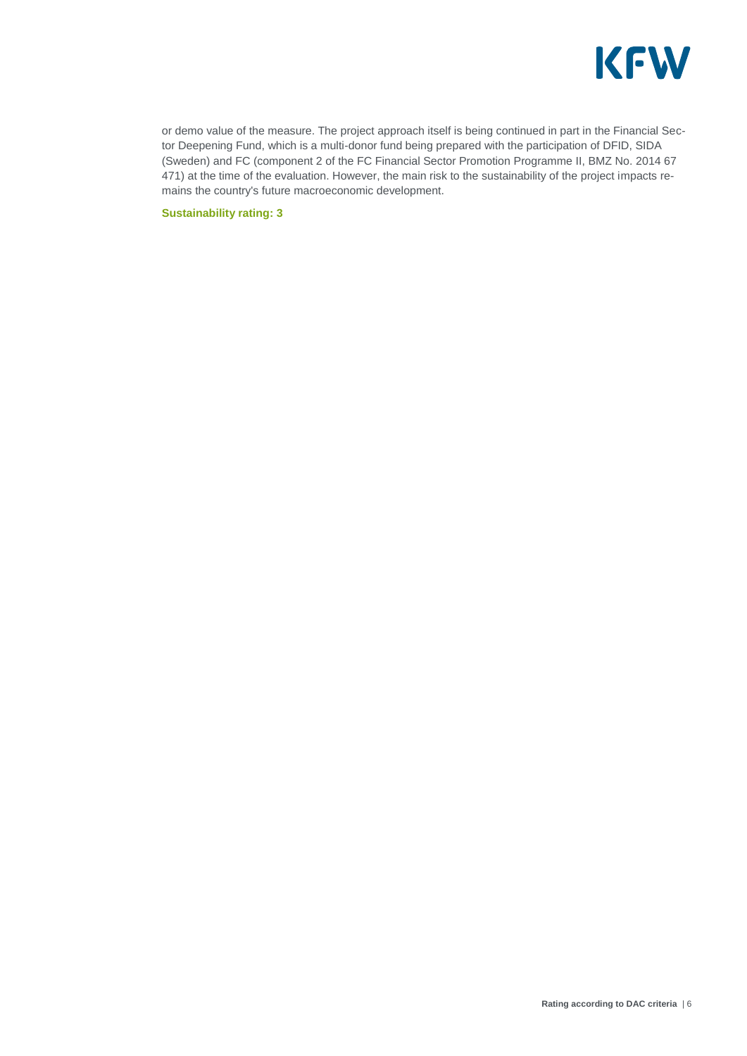

or demo value of the measure. The project approach itself is being continued in part in the Financial Sector Deepening Fund, which is a multi-donor fund being prepared with the participation of DFID, SIDA (Sweden) and FC (component 2 of the FC Financial Sector Promotion Programme II, BMZ No. 2014 67 471) at the time of the evaluation. However, the main risk to the sustainability of the project impacts remains the country's future macroeconomic development.

**Sustainability rating: 3**